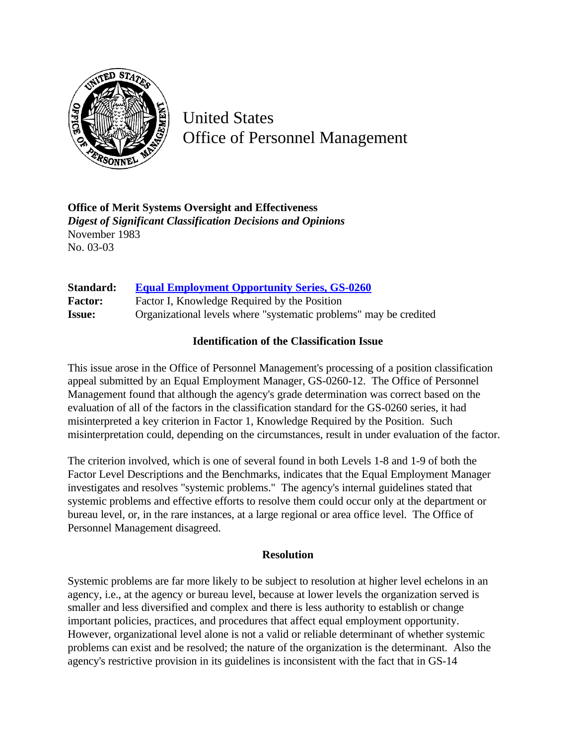

United States Office of Personnel Management

**Office of Merit Systems Oversight and Effectiveness** *Digest of Significant Classification Decisions and Opinions* November 1983 No. 03-03

| Standard:      | <b>Equal Employment Opportunity Series, GS-0260</b>               |
|----------------|-------------------------------------------------------------------|
| <b>Factor:</b> | Factor I, Knowledge Required by the Position                      |
| <b>Issue:</b>  | Organizational levels where "systematic problems" may be credited |

## **Identification of the Classification Issue**

This issue arose in the Office of Personnel Management's processing of a position classification appeal submitted by an Equal Employment Manager, GS-0260-12. The Office of Personnel Management found that although the agency's grade determination was correct based on the evaluation of all of the factors in the classification standard for the GS-0260 series, it had misinterpreted a key criterion in Factor 1, Knowledge Required by the Position. Such misinterpretation could, depending on the circumstances, result in under evaluation of the factor.

The criterion involved, which is one of several found in both Levels 1-8 and 1-9 of both the Factor Level Descriptions and the Benchmarks, indicates that the Equal Employment Manager investigates and resolves "systemic problems." The agency's internal guidelines stated that systemic problems and effective efforts to resolve them could occur only at the department or bureau level, or, in the rare instances, at a large regional or area office level. The Office of Personnel Management disagreed.

## **Resolution**

Systemic problems are far more likely to be subject to resolution at higher level echelons in an agency, i.e., at the agency or bureau level, because at lower levels the organization served is smaller and less diversified and complex and there is less authority to establish or change important policies, practices, and procedures that affect equal employment opportunity. However, organizational level alone is not a valid or reliable determinant of whether systemic problems can exist and be resolved; the nature of the organization is the determinant. Also the agency's restrictive provision in its guidelines is inconsistent with the fact that in GS-14